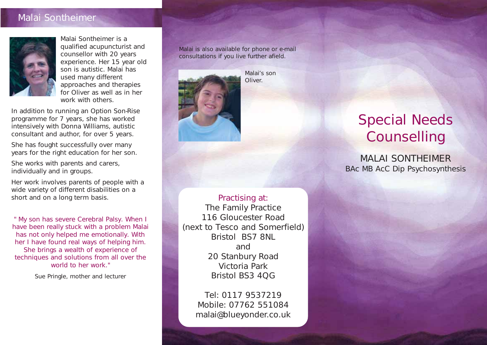### Malai Sontheimer



Malai Sontheimer is a qualified acupuncturist and counsellor with 20 years experience. Her 15 year old son is autistic. Malai has used many different approaches and therapies for Oliver as well as in her work with others.

In addition to running an Option Son-Rise programme for 7 years, she has worked intensively with Donna Williams, autistic consultant and author, for over 5 years.

She has fought successfully over many years for the right education for her son.

She works with parents and carers, individually and in groups.

Her work involves parents of people with a wide variety of different disabilities on a short and on a long term basis.

'' My son has severe Cerebral Palsy. When I have been really stuck with a problem Malai has not only helped me emotionally. With her I have found real ways of helping him. She brings a wealth of experience of techniques and solutions from all over the world to her work.''

Sue Pringle, mother and lecturer

Malai is also available for phone or e-mail consultations if you live further afield.



Malai's son **Oliver** 

### Practising at: The Family Practice 116 Gloucester Road (next to Tesco and Somerfield) Bristol BS7 8NL and 20 Stanbury Road Victoria Park Bristol BS3 4QG

Tel: 0117 9537219 Mobile: 07762 551084 malai@blueyonder.co.uk

# Special Needs **Counselling**

MALAI SONTHEIMER BAc MB AcC Dip Psychosynthesis